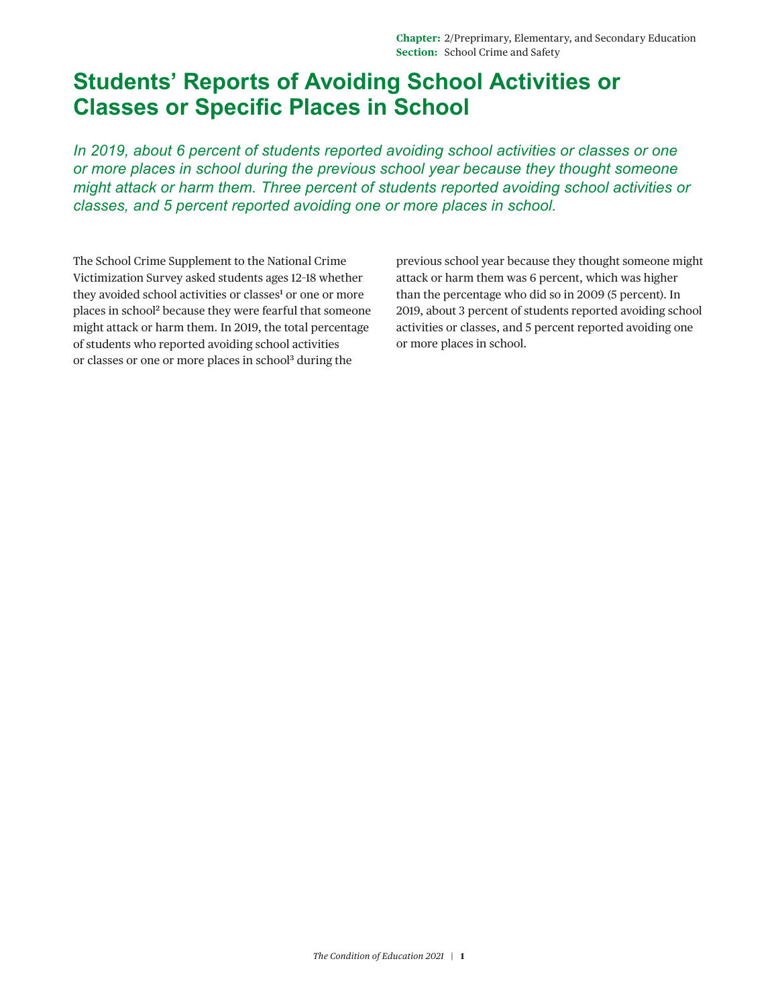## **Students' Reports of Avoiding School Activities or Classes or Specific Places in School**

*In 2019, about 6 percent of students reported avoiding school activities or classes or one or more places in school during the previous school year because they thought someone might attack or harm them. Three percent of students reported avoiding school activities or classes, and 5 percent reported avoiding one or more places in school.*

The School Crime Supplement to the National Crime Victimization Survey asked students ages 12–18 whether they avoided school activities or classes<sup>1</sup> or one or more places in school[2](#page-3-1) because they were fearful that someone might attack or harm them. In 2019, the total percentage of students who reported avoiding school activities or classes or one or more places in schoo[l3](#page-3-2) during the

previous school year because they thought someone might attack or harm them was 6 percent, which was higher than the percentage who did so in 2009 (5 percent). In 2019, about 3 percent of students reported avoiding school activities or classes, and 5 percent reported avoiding one or more places in school.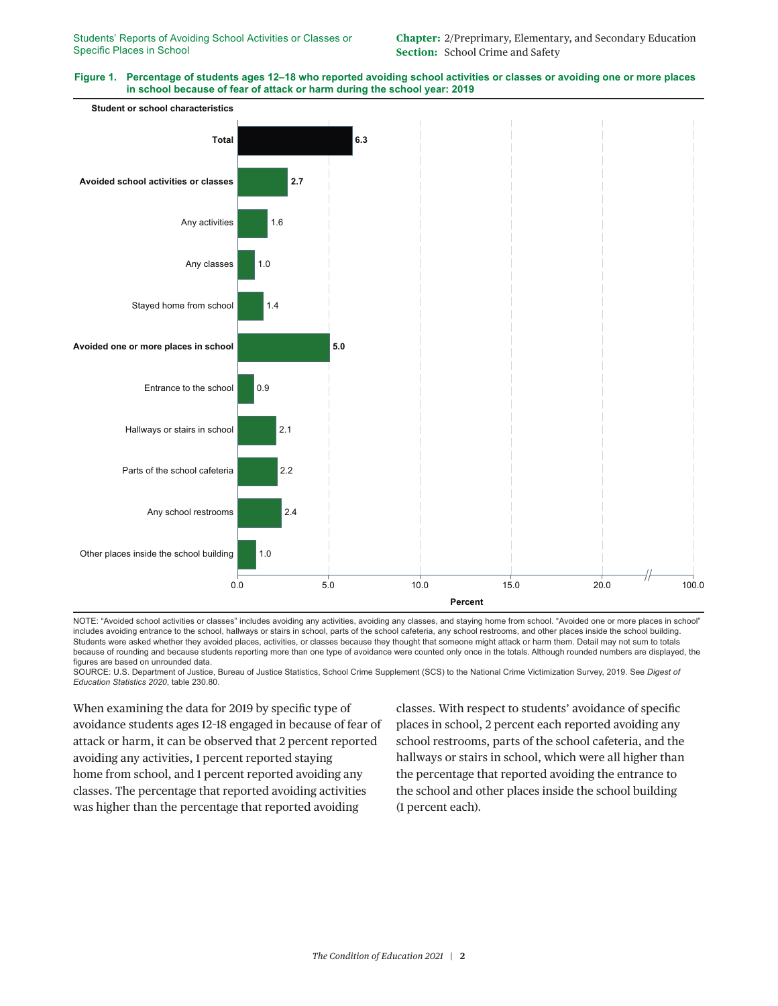



NOTE: "Avoided school activities or classes" includes avoiding any activities, avoiding any classes, and staying home from school. "Avoided one or more places in school" includes avoiding entrance to the school, hallways or stairs in school, parts of the school cafeteria, any school restrooms, and other places inside the school building. Students were asked whether they avoided places, activities, or classes because they thought that someone might attack or harm them. Detail may not sum to totals because of rounding and because students reporting more than one type of avoidance were counted only once in the totals. Although rounded numbers are displayed, the figures are based on unrounded data.

SOURCE: U.S. Department of Justice, Bureau of Justice Statistics, School Crime Supplement (SCS) to the National Crime Victimization Survey, 2019. See *Digest of Education Statistics 2020*, table 230.80.

When examining the data for 2019 by specific type of avoidance students ages 12–18 engaged in because of fear of attack or harm, it can be observed that 2 percent reported avoiding any activities, 1 percent reported staying home from school, and 1 percent reported avoiding any classes. The percentage that reported avoiding activities was higher than the percentage that reported avoiding

classes. With respect to students' avoidance of specific places in school, 2 percent each reported avoiding any school restrooms, parts of the school cafeteria, and the hallways or stairs in school, which were all higher than the percentage that reported avoiding the entrance to the school and other places inside the school building (1 percent each).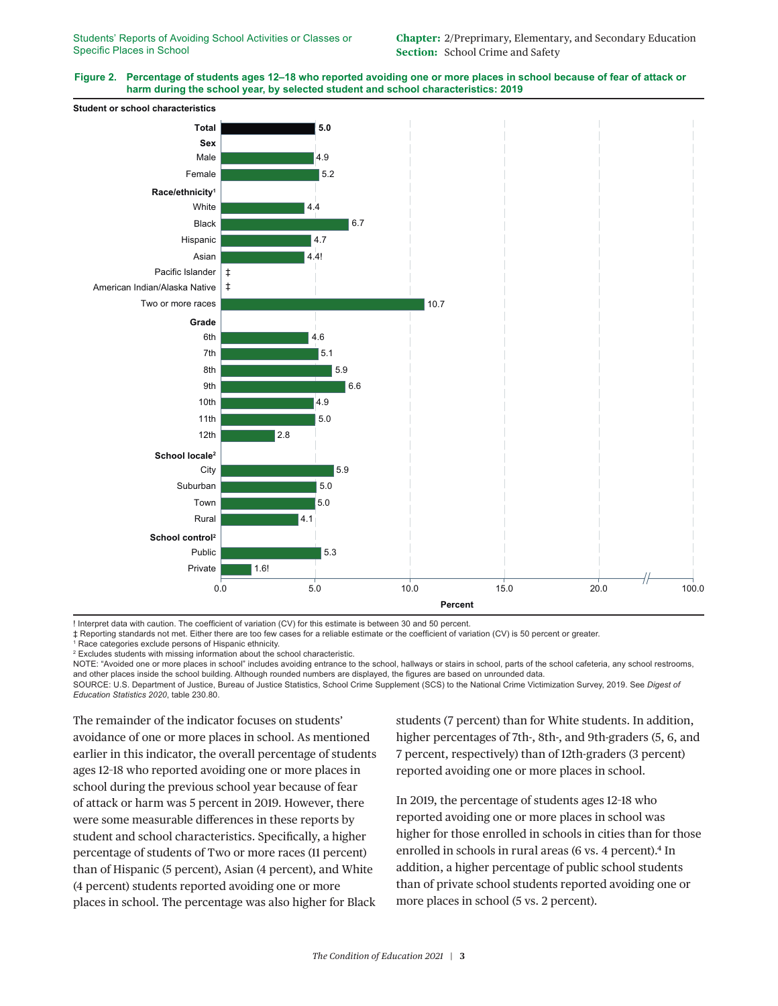## **Figure 2. Percentage of students ages 12–18 who reported avoiding one or more places in school because of fear of attack or harm during the school year, by selected student and school characteristics: 2019**



! Interpret data with caution. The coefficient of variation (CV) for this estimate is between 30 and 50 percent.

‡ Reporting standards not met. Either there are too few cases for a reliable estimate or the coefficient of variation (CV) is 50 percent or greater.

1 Race categories exclude persons of Hispanic ethnicity.

2 Excludes students with missing information about the school characteristic.

NOTE: "Avoided one or more places in school" includes avoiding entrance to the school, hallways or stairs in school, parts of the school cafeteria, any school restrooms, and other places inside the school building. Although rounded numbers are displayed, the figures are based on unrounded data.

SOURCE: U.S. Department of Justice, Bureau of Justice Statistics, School Crime Supplement (SCS) to the National Crime Victimization Survey, 2019. See *Digest of Education Statistics 2020*, table 230.80.

The remainder of the indicator focuses on students' avoidance of one or more places in school. As mentioned earlier in this indicator, the overall percentage of students ages 12–18 who reported avoiding one or more places in school during the previous school year because of fear of attack or harm was 5 percent in 2019. However, there were some measurable differences in these reports by student and school characteristics. Specifically, a higher percentage of students of Two or more races (11 percent) than of Hispanic (5 percent), Asian (4 percent), and White (4 percent) students reported avoiding one or more places in school. The percentage was also higher for Black

students (7 percent) than for White students. In addition, higher percentages of 7th-, 8th-, and 9th-graders (5, 6, and 7 percent, respectively) than of 12th-graders (3 percent) reported avoiding one or more places in school.

In 2019, the percentage of students ages 12–18 who reported avoiding one or more places in school was higher for those enrolled in schools in cities than for those enrolled in schools in rural areas (6 vs. 4 percent).<sup>4</sup> In addition, a higher percentage of public school students than of private school students reported avoiding one or more places in school (5 vs. 2 percent).